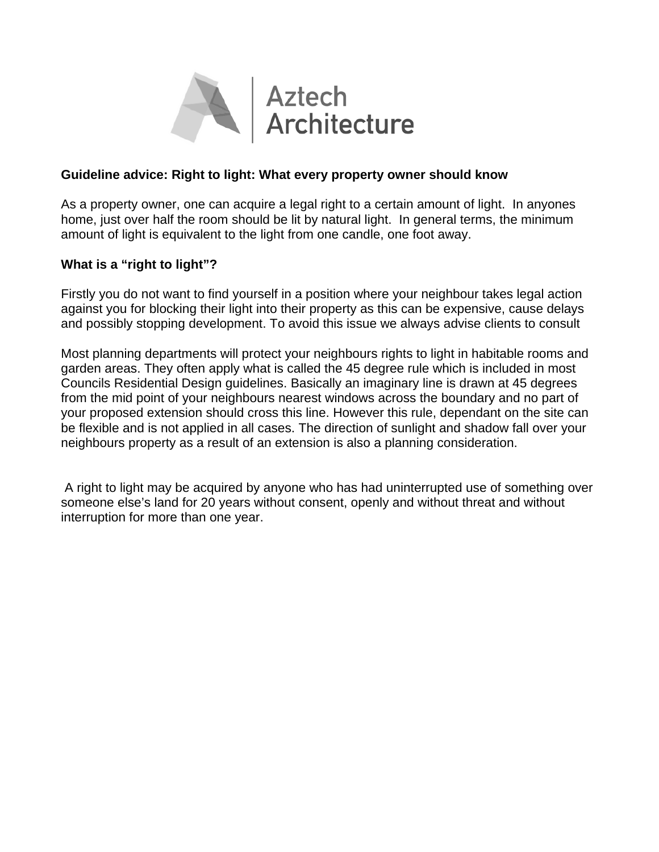

## **Guideline advice: Right to light: What every property owner should know**

As a property owner, one can acquire a legal right to a certain amount of light. In anyones home, just over half the room should be lit by natural light. In general terms, the minimum amount of light is equivalent to the light from one candle, one foot away.

## **What is a "right to light"?**

Firstly you do not want to find yourself in a position where your neighbour takes legal action against you for blocking their light into their property as this can be expensive, cause delays and possibly stopping development. To avoid this issue we always advise clients to consult

Most planning departments will protect your neighbours rights to light in habitable rooms and garden areas. They often apply what is called the 45 degree rule which is included in most Councils Residential Design guidelines. Basically an imaginary line is drawn at 45 degrees from the mid point of your neighbours nearest windows across the boundary and no part of your proposed extension should cross this line. However this rule, dependant on the site can be flexible and is not applied in all cases. The direction of sunlight and shadow fall over your neighbours property as a result of an extension is also a planning consideration.

 A right to light may be acquired by anyone who has had uninterrupted use of something over someone else's land for 20 years without consent, openly and without threat and without interruption for more than one year.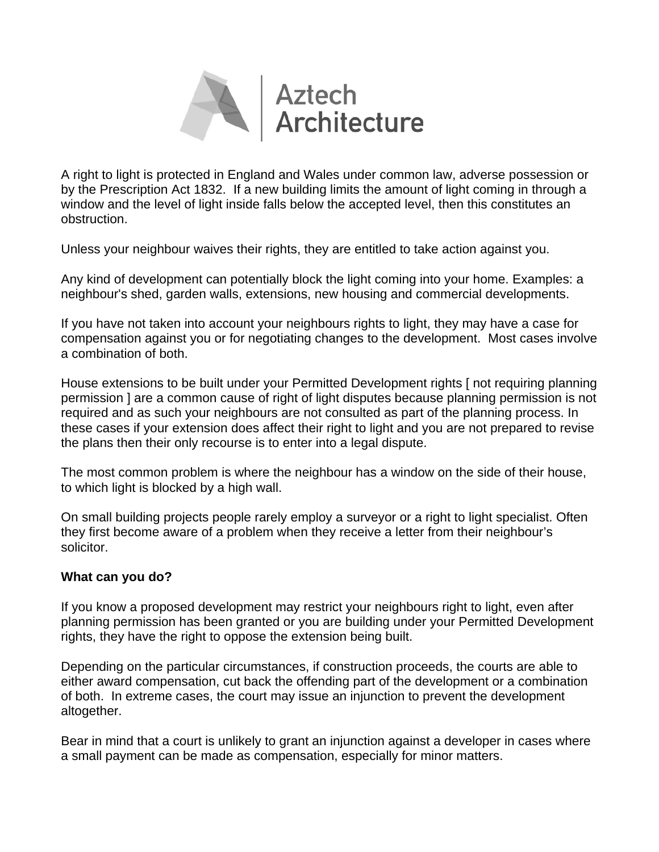

A right to light is protected in England and Wales under common law, adverse possession or by the Prescription Act 1832. If a new building limits the amount of light coming in through a window and the level of light inside falls below the accepted level, then this constitutes an obstruction.

Unless your neighbour waives their rights, they are entitled to take action against you.

Any kind of development can potentially block the light coming into your home. Examples: a neighbour's shed, garden walls, extensions, new housing and commercial developments.

If you have not taken into account your neighbours rights to light, they may have a case for compensation against you or for negotiating changes to the development. Most cases involve a combination of both.

House extensions to be built under your Permitted Development rights [ not requiring planning permission ] are a common cause of right of light disputes because planning permission is not required and as such your neighbours are not consulted as part of the planning process. In these cases if your extension does affect their right to light and you are not prepared to revise the plans then their only recourse is to enter into a legal dispute.

The most common problem is where the neighbour has a window on the side of their house, to which light is blocked by a high wall.

On small building projects people rarely employ a surveyor or a right to light specialist. Often they first become aware of a problem when they receive a letter from their neighbour's solicitor.

## **What can you do?**

If you know a proposed development may restrict your neighbours right to light, even after planning permission has been granted or you are building under your Permitted Development rights, they have the right to oppose the extension being built.

Depending on the particular circumstances, if construction proceeds, the courts are able to either award compensation, cut back the offending part of the development or a combination of both. In extreme cases, the court may issue an injunction to prevent the development altogether.

Bear in mind that a court is unlikely to grant an injunction against a developer in cases where a small payment can be made as compensation, especially for minor matters.